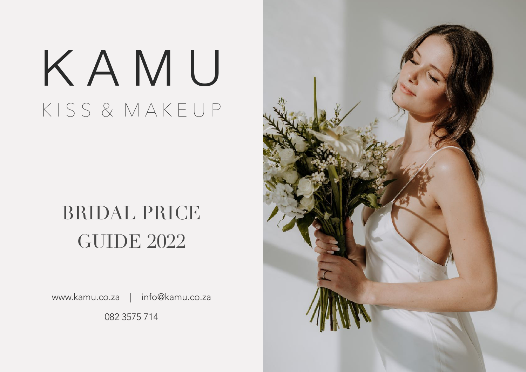# K A M U K I S S & M A K E U P

## BRIDAL PRICE GUIDE 2022

www.kamu.co.za | info@kamu.co.za 082 3575 714

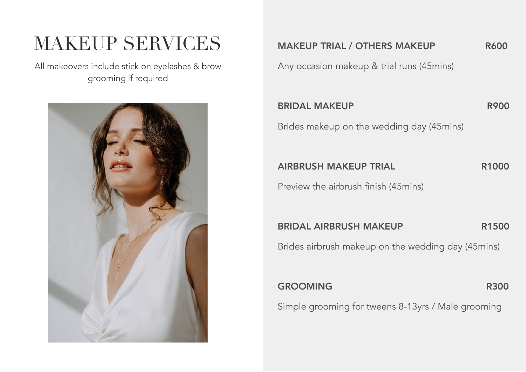### MAKEUP SERVICES

All makeovers include stick on eyelashes & brow grooming if required



MAKEUP TRIAL / OTHERS MAKEUP R600

Any occasion makeup & trial runs (45mins)

#### BRIDAL MAKEUP R900

Brides makeup on the wedding day (45mins)

AIRBRUSH MAKEUP TRIAL R1000

Preview the airbrush finish (45mins)

BRIDAL AIRBRUSH MAKEUP R1500

Brides airbrush makeup on the wedding day (45mins)

#### GROOMING R300

Simple grooming for tweens 8-13yrs / Male grooming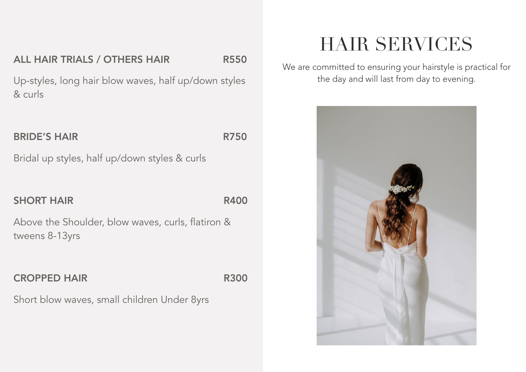#### ALL HAIR TRIALS / OTHERS HAIR R550

Up-styles, long hair blow waves, half up/down styles & curls

#### BRIDE'S HAIR R750

Bridal up styles, half up/down styles & curls

#### SHORT HAIR R400

Above the Shoulder, blow waves, curls, flatiron & tweens 8-13yrs

#### CROPPED HAIR R300

Short blow waves, small children Under 8yrs

### HAIR SERVICES

We are committed to ensuring your hairstyle is practical for the day and will last from day to evening.

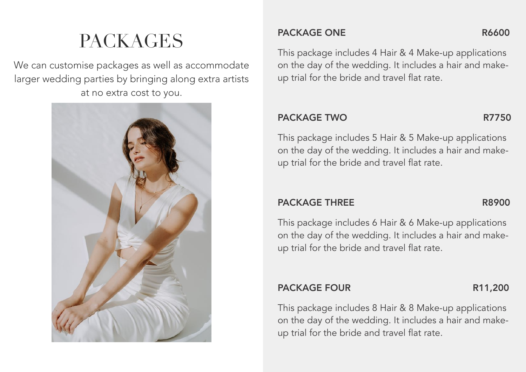## PACKAGES

We can customise packages as well as accommodate larger wedding parties by bringing along extra artists at no extra cost to you.



#### PACKAGE ONE R6600

### This package includes 4 Hair & 4 Make-up applications on the day of the wedding. It includes a hair and makeup trial for the bride and travel flat rate.

#### PACKAGE TWO R7750

This package includes 5 Hair & 5 Make-up applications on the day of the wedding. It includes a hair and makeup trial for the bride and travel flat rate.

#### PACKAGE THREE R8900

This package includes 6 Hair & 6 Make-up applications on the day of the wedding. It includes a hair and makeup trial for the bride and travel flat rate.

### PACKAGE FOUR R11,200

This package includes 8 Hair & 8 Make-up applications on the day of the wedding. It includes a hair and makeup trial for the bride and travel flat rate.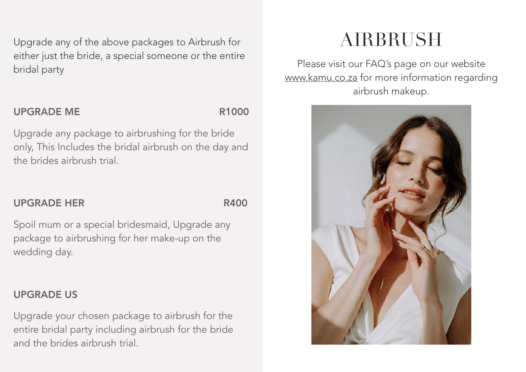Upgrade any of the above packages to Airbrush for either just the bride, a special someone or the entire bridal party

#### UPGRADE ME R1000

Upgrade any package to airbrushing for the bride only, This Includes the bridal airbrush on the day and the brides airbrush trial.

### UPGRADE HER R400

Spoil mum or a special bridesmaid, Upgrade any package to airbrushing for her make-up on the wedding day.

### UPGRADE US

Upgrade your chosen package to airbrush for the entire bridal party including airbrush for the bride and the brides airbrush trial.

### AIRBRUSH

Please visit our FAQ's page on our website [www.kamu.co.za](http://www.kamu.co.za) for more information regarding airbrush makeup.